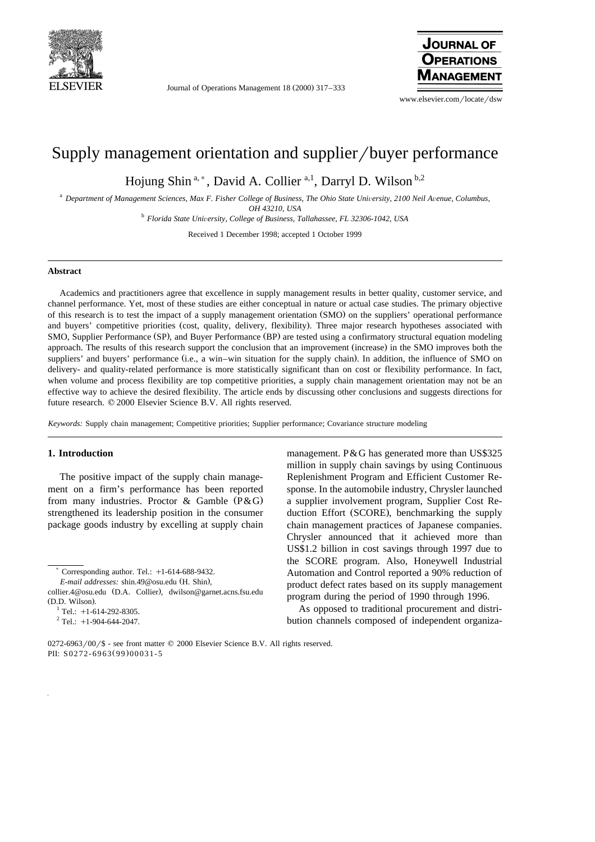

Journal of Operations Management 18 (2000) 317–333



www.elsevier.com/locate/dsw

## Supply management orientation and supplier/buyer performance

Hojung Shin<sup>a,\*</sup>, David A. Collier<sup>a,1</sup>, Darryl D. Wilson b,2

<sup>a</sup> Department of Management Sciences, Max F. Fisher College of Business, The Ohio State University, 2100 Neil Avenue, Columbus,

*OH 43210, USA*<br><sup>b</sup> *Florida State University, College of Business, Tallahassee, FL 32306-1042, USA* 

Received 1 December 1998; accepted 1 October 1999

## **Abstract**

Academics and practitioners agree that excellence in supply management results in better quality, customer service, and channel performance. Yet, most of these studies are either conceptual in nature or actual case studies. The primary objective of this research is to test the impact of a supply management orientation (SMO) on the suppliers' operational performance and buyers' competitive priorities (cost, quality, delivery, flexibility). Three major research hypotheses associated with SMO, Supplier Performance (SP), and Buyer Performance (BP) are tested using a confirmatory structural equation modeling approach. The results of this research support the conclusion that an improvement (increase) in the SMO improves both the suppliers' and buyers' performance (i.e., a win–win situation for the supply chain). In addition, the influence of SMO on delivery- and quality-related performance is more statistically significant than on cost or flexibility performance. In fact, when volume and process flexibility are top competitive priorities, a supply chain management orientation may not be an effective way to achieve the desired flexibility. The article ends by discussing other conclusions and suggests directions for future research.  $© 2000$  Elsevier Science B.V. All rights reserved.

*Keywords:* Supply chain management; Competitive priorities; Supplier performance; Covariance structure modeling

## **1. Introduction**

The positive impact of the supply chain management on a firm's performance has been reported from many industries. Proctor  $\&$  Gamble (P $\&$ G) strengthened its leadership position in the consumer package goods industry by excelling at supply chain

Corresponding author. Tel.:  $+1-614-688-9432$ .

*E-mail addresses:* shin.49@osu.edu (H. Shin),

management. P&G has generated more than US\$325 million in supply chain savings by using Continuous Replenishment Program and Efficient Customer Response. In the automobile industry, Chrysler launched a supplier involvement program, Supplier Cost Reduction Effort (SCORE), benchmarking the supply chain management practices of Japanese companies. Chrysler announced that it achieved more than US\$1.2 billion in cost savings through 1997 due to the SCORE program. Also, Honeywell Industrial Automation and Control reported a 90% reduction of product defect rates based on its supply management program during the period of 1990 through 1996.

As opposed to traditional procurement and distribution channels composed of independent organiza-

collier.4@osu.edu (D.A. Collier), dwilson@garnet.acns.fsu.edu (D.D. Wilson).<br> $^{1}$  Tel.: +1-614-292-8305.<br> $^{2}$  Tel.: +1-904-644-2047.

 $0272-6963/00\frac{\text{}}{\text{}}$  - see front matter  $\textcircled{2000}$  Elsevier Science B.V. All rights reserved. PII: S0272-6963(99)00031-5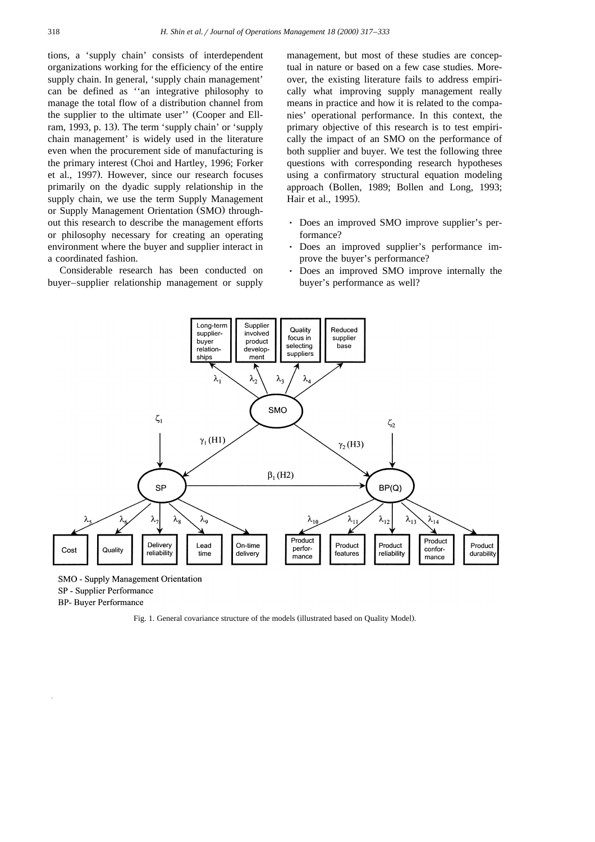tions, a 'supply chain' consists of interdependent organizations working for the efficiency of the entire supply chain. In general, 'supply chain management' can be defined as ''an integrative philosophy to manage the total flow of a distribution channel from the supplier to the ultimate user'' (Cooper and Ellram, 1993, p. 13). The term 'supply chain' or 'supply chain management' is widely used in the literature even when the procurement side of manufacturing is the primary interest (Choi and Hartley, 1996; Forker et al., 1997). However, since our research focuses primarily on the dyadic supply relationship in the supply chain, we use the term Supply Management or Supply Management Orientation (SMO) throughout this research to describe the management efforts or philosophy necessary for creating an operating environment where the buyer and supplier interact in a coordinated fashion.

Considerable research has been conducted on buyer–supplier relationship management or supply

management, but most of these studies are conceptual in nature or based on a few case studies. Moreover, the existing literature fails to address empirically what improving supply management really means in practice and how it is related to the companies' operational performance. In this context, the primary objective of this research is to test empirically the impact of an SMO on the performance of both supplier and buyer. We test the following three questions with corresponding research hypotheses using a confirmatory structural equation modeling approach (Bollen, 1989; Bollen and Long, 1993; Hair et al., 1995).

- Ø Does an improved SMO improve supplier's performance?
- Does an improved supplier's performance improve the buyer's performance?
- Ø Does an improved SMO improve internally the buyer's performance as well?



SMO - Supply Management Orientation SP - Supplier Performance **BP-** Buyer Performance

Fig. 1. General covariance structure of the models (illustrated based on Quality Model).